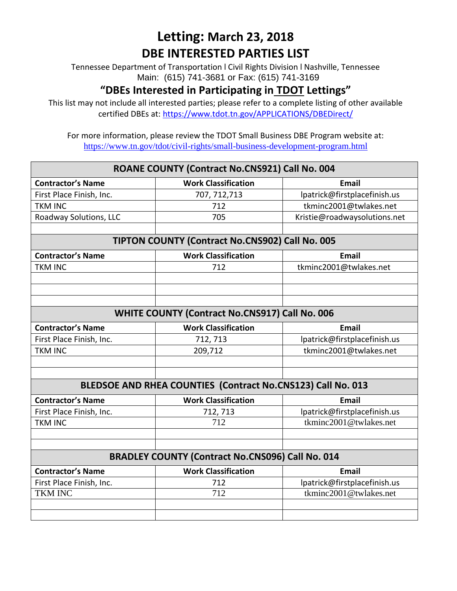Tennessee Department of Transportation l Civil Rights Division l Nashville, Tennessee Main: (615) 741-3681 or Fax: (615) 741-3169

#### **"DBEs Interested in Participating in TDOT Lettings"**

This list may not include all interested parties; please refer to a complete listing of other available certified DBEs at:<https://www.tdot.tn.gov/APPLICATIONS/DBEDirect/>

| ROANE COUNTY (Contract No.CNS921) Call No. 004          |                                                             |                              |
|---------------------------------------------------------|-------------------------------------------------------------|------------------------------|
| <b>Contractor's Name</b>                                | <b>Work Classification</b>                                  | <b>Email</b>                 |
| First Place Finish, Inc.                                | 707, 712, 713                                               | lpatrick@firstplacefinish.us |
| <b>TKM INC</b>                                          | 712                                                         | tkminc2001@twlakes.net       |
| Roadway Solutions, LLC                                  | 705                                                         | Kristie@roadwaysolutions.net |
|                                                         |                                                             |                              |
|                                                         | TIPTON COUNTY (Contract No.CNS902) Call No. 005             |                              |
| <b>Contractor's Name</b>                                | <b>Work Classification</b>                                  | <b>Email</b>                 |
| <b>TKM INC</b>                                          | 712                                                         | tkminc2001@twlakes.net       |
|                                                         |                                                             |                              |
|                                                         |                                                             |                              |
|                                                         |                                                             |                              |
| <b>WHITE COUNTY (Contract No.CNS917) Call No. 006</b>   |                                                             |                              |
| <b>Contractor's Name</b>                                | <b>Work Classification</b>                                  | <b>Email</b>                 |
| First Place Finish, Inc.                                | 712, 713                                                    | lpatrick@firstplacefinish.us |
| <b>TKM INC</b>                                          | 209,712                                                     | tkminc2001@twlakes.net       |
|                                                         |                                                             |                              |
|                                                         |                                                             |                              |
|                                                         | BLEDSOE AND RHEA COUNTIES (Contract No.CNS123) Call No. 013 |                              |
| <b>Contractor's Name</b>                                | <b>Work Classification</b>                                  | <b>Email</b>                 |
| First Place Finish, Inc.                                | 712, 713                                                    | lpatrick@firstplacefinish.us |
| <b>TKM INC</b>                                          | 712                                                         | tkminc2001@twlakes.net       |
|                                                         |                                                             |                              |
|                                                         |                                                             |                              |
| <b>BRADLEY COUNTY (Contract No.CNS096) Call No. 014</b> |                                                             |                              |
| <b>Contractor's Name</b>                                | <b>Work Classification</b>                                  | <b>Email</b>                 |
| First Place Finish, Inc.                                | 712                                                         | lpatrick@firstplacefinish.us |
| <b>TKM INC</b>                                          | 712                                                         | tkminc2001@twlakes.net       |
|                                                         |                                                             |                              |
|                                                         |                                                             |                              |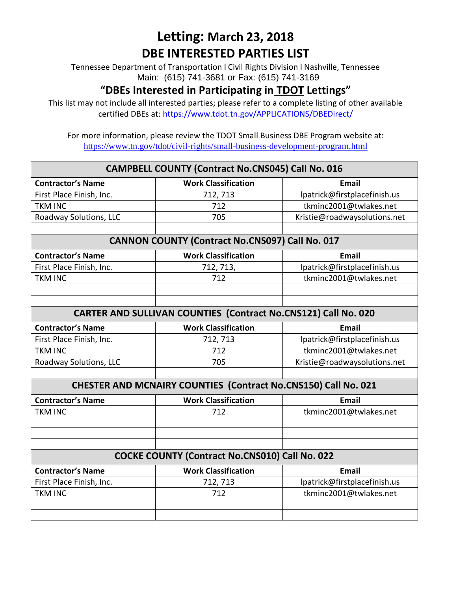Tennessee Department of Transportation l Civil Rights Division l Nashville, Tennessee Main: (615) 741-3681 or Fax: (615) 741-3169

### **"DBEs Interested in Participating in TDOT Lettings"**

This list may not include all interested parties; please refer to a complete listing of other available certified DBEs at:<https://www.tdot.tn.gov/APPLICATIONS/DBEDirect/>

| <b>CAMPBELL COUNTY (Contract No.CNS045) Call No. 016</b>       |                                                                       |                              |  |
|----------------------------------------------------------------|-----------------------------------------------------------------------|------------------------------|--|
| <b>Contractor's Name</b>                                       | <b>Work Classification</b>                                            | <b>Email</b>                 |  |
| First Place Finish, Inc.                                       | 712, 713                                                              | lpatrick@firstplacefinish.us |  |
| <b>TKM INC</b>                                                 | 712                                                                   | tkminc2001@twlakes.net       |  |
| Roadway Solutions, LLC                                         | 705                                                                   | Kristie@roadwaysolutions.net |  |
|                                                                |                                                                       |                              |  |
|                                                                | <b>CANNON COUNTY (Contract No.CNS097) Call No. 017</b>                |                              |  |
| <b>Contractor's Name</b>                                       | <b>Work Classification</b>                                            | <b>Email</b>                 |  |
| First Place Finish, Inc.                                       | 712, 713,                                                             | lpatrick@firstplacefinish.us |  |
| <b>TKM INC</b>                                                 | 712                                                                   | tkminc2001@twlakes.net       |  |
|                                                                |                                                                       |                              |  |
|                                                                |                                                                       |                              |  |
| CARTER AND SULLIVAN COUNTIES (Contract No.CNS121) Call No. 020 |                                                                       |                              |  |
| <b>Contractor's Name</b>                                       | <b>Work Classification</b>                                            | <b>Email</b>                 |  |
| First Place Finish, Inc.                                       | 712, 713                                                              | lpatrick@firstplacefinish.us |  |
| <b>TKM INC</b>                                                 | 712                                                                   | tkminc2001@twlakes.net       |  |
| Roadway Solutions, LLC                                         | 705                                                                   | Kristie@roadwaysolutions.net |  |
|                                                                |                                                                       |                              |  |
|                                                                | <b>CHESTER AND MCNAIRY COUNTIES (Contract No.CNS150) Call No. 021</b> |                              |  |
| <b>Contractor's Name</b>                                       | <b>Work Classification</b>                                            | <b>Email</b>                 |  |
| <b>TKM INC</b>                                                 | 712                                                                   | tkminc2001@twlakes.net       |  |
|                                                                |                                                                       |                              |  |
|                                                                |                                                                       |                              |  |
|                                                                |                                                                       |                              |  |
|                                                                | <b>COCKE COUNTY (Contract No.CNS010) Call No. 022</b>                 |                              |  |
| <b>Contractor's Name</b>                                       | <b>Work Classification</b>                                            | <b>Email</b>                 |  |
| First Place Finish, Inc.                                       | 712, 713                                                              | lpatrick@firstplacefinish.us |  |
| <b>TKM INC</b>                                                 | 712                                                                   | tkminc2001@twlakes.net       |  |
|                                                                |                                                                       |                              |  |
|                                                                |                                                                       |                              |  |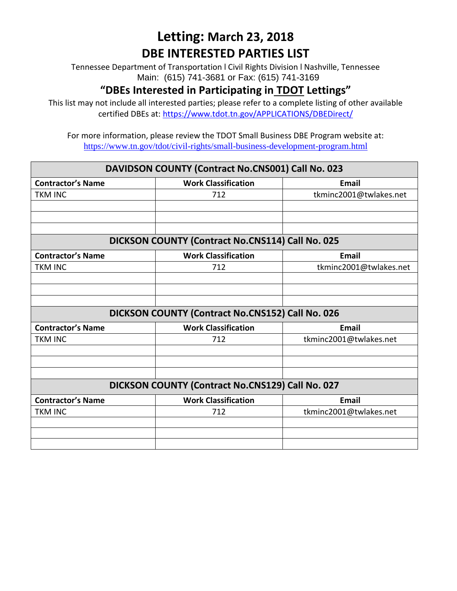Tennessee Department of Transportation l Civil Rights Division l Nashville, Tennessee Main: (615) 741-3681 or Fax: (615) 741-3169

#### **"DBEs Interested in Participating in TDOT Lettings"**

This list may not include all interested parties; please refer to a complete listing of other available certified DBEs at:<https://www.tdot.tn.gov/APPLICATIONS/DBEDirect/>

| DAVIDSON COUNTY (Contract No.CNS001) Call No. 023 |                                                  |                        |
|---------------------------------------------------|--------------------------------------------------|------------------------|
| <b>Contractor's Name</b>                          | <b>Work Classification</b>                       | <b>Email</b>           |
| <b>TKM INC</b>                                    | 712                                              | tkminc2001@twlakes.net |
|                                                   |                                                  |                        |
|                                                   |                                                  |                        |
|                                                   |                                                  |                        |
|                                                   | DICKSON COUNTY (Contract No.CNS114) Call No. 025 |                        |
| <b>Contractor's Name</b>                          | <b>Work Classification</b>                       | <b>Email</b>           |
| <b>TKM INC</b>                                    | 712                                              | tkminc2001@twlakes.net |
|                                                   |                                                  |                        |
|                                                   |                                                  |                        |
|                                                   |                                                  |                        |
|                                                   | DICKSON COUNTY (Contract No.CNS152) Call No. 026 |                        |
| <b>Contractor's Name</b>                          | <b>Work Classification</b>                       | <b>Email</b>           |
| <b>TKM INC</b>                                    | 712                                              | tkminc2001@twlakes.net |
|                                                   |                                                  |                        |
|                                                   |                                                  |                        |
|                                                   |                                                  |                        |
|                                                   | DICKSON COUNTY (Contract No.CNS129) Call No. 027 |                        |
| <b>Contractor's Name</b>                          | <b>Work Classification</b>                       | <b>Email</b>           |
| <b>TKM INC</b>                                    | 712                                              | tkminc2001@twlakes.net |
|                                                   |                                                  |                        |
|                                                   |                                                  |                        |
|                                                   |                                                  |                        |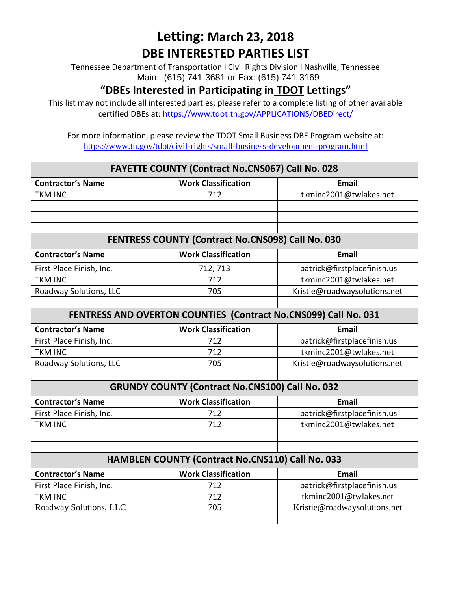Tennessee Department of Transportation l Civil Rights Division l Nashville, Tennessee Main: (615) 741-3681 or Fax: (615) 741-3169

### **"DBEs Interested in Participating in TDOT Lettings"**

This list may not include all interested parties; please refer to a complete listing of other available certified DBEs at:<https://www.tdot.tn.gov/APPLICATIONS/DBEDirect/>

| FAYETTE COUNTY (Contract No.CNS067) Call No. 028                       |                                                         |                              |  |
|------------------------------------------------------------------------|---------------------------------------------------------|------------------------------|--|
| <b>Contractor's Name</b>                                               | <b>Work Classification</b>                              | <b>Email</b>                 |  |
| <b>TKM INC</b>                                                         | 712                                                     | tkminc2001@twlakes.net       |  |
|                                                                        |                                                         |                              |  |
|                                                                        |                                                         |                              |  |
|                                                                        |                                                         |                              |  |
|                                                                        | FENTRESS COUNTY (Contract No.CNS098) Call No. 030       |                              |  |
| <b>Contractor's Name</b>                                               | <b>Work Classification</b>                              | <b>Email</b>                 |  |
| First Place Finish, Inc.                                               | 712, 713                                                | lpatrick@firstplacefinish.us |  |
| <b>TKM INC</b>                                                         | 712                                                     | tkminc2001@twlakes.net       |  |
| Roadway Solutions, LLC                                                 | 705                                                     | Kristie@roadwaysolutions.net |  |
|                                                                        |                                                         |                              |  |
| <b>FENTRESS AND OVERTON COUNTIES (Contract No.CNS099) Call No. 031</b> |                                                         |                              |  |
| <b>Contractor's Name</b>                                               | <b>Work Classification</b>                              | <b>Email</b>                 |  |
| First Place Finish, Inc.                                               | 712                                                     | lpatrick@firstplacefinish.us |  |
| <b>TKM INC</b>                                                         | 712                                                     | tkminc2001@twlakes.net       |  |
| Roadway Solutions, LLC                                                 | 705                                                     | Kristie@roadwaysolutions.net |  |
|                                                                        |                                                         |                              |  |
|                                                                        | <b>GRUNDY COUNTY (Contract No.CNS100) Call No. 032</b>  |                              |  |
| <b>Contractor's Name</b>                                               | <b>Work Classification</b>                              | <b>Email</b>                 |  |
| First Place Finish, Inc.                                               | 712                                                     | lpatrick@firstplacefinish.us |  |
| <b>TKM INC</b>                                                         | 712                                                     | tkminc2001@twlakes.net       |  |
|                                                                        |                                                         |                              |  |
|                                                                        |                                                         |                              |  |
|                                                                        | <b>HAMBLEN COUNTY (Contract No.CNS110) Call No. 033</b> |                              |  |
| <b>Contractor's Name</b>                                               | <b>Work Classification</b>                              | <b>Email</b>                 |  |
| First Place Finish, Inc.                                               | 712                                                     | lpatrick@firstplacefinish.us |  |
| <b>TKM INC</b>                                                         | 712                                                     | tkminc2001@twlakes.net       |  |
| Roadway Solutions, LLC                                                 | 705                                                     | Kristie@roadwaysolutions.net |  |
|                                                                        |                                                         |                              |  |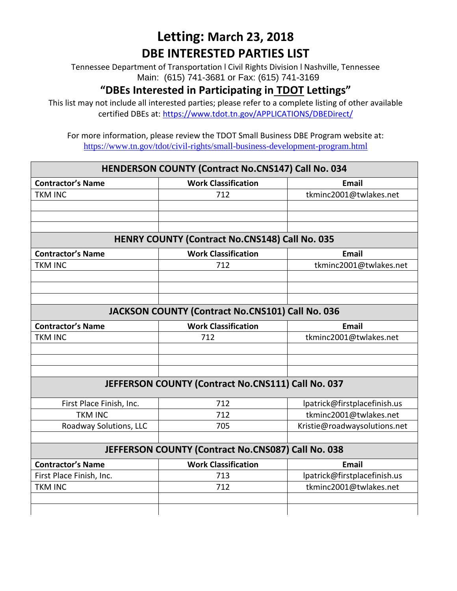Tennessee Department of Transportation l Civil Rights Division l Nashville, Tennessee Main: (615) 741-3681 or Fax: (615) 741-3169

#### **"DBEs Interested in Participating in TDOT Lettings"**

This list may not include all interested parties; please refer to a complete listing of other available certified DBEs at:<https://www.tdot.tn.gov/APPLICATIONS/DBEDirect/>

For more information, please review the TDOT Small Business DBE Program website at: <https://www.tn.gov/tdot/civil-rights/small-business-development-program.html>

## **HENDERSON COUNTY (Contract No.CNS147) Call No. 034 Contractor's Name Work Classification Email** TKM INC 712 tkminc2001@twlakes.net **HENRY COUNTY (Contract No.CNS148) Call No. 035 Contractor's Name Work Classification Email** TKM INC **TREADULA TELEVISION** TREADULE 212 tkminc2001@twlakes.net **JACKSON COUNTY (Contract No.CNS101) Call No. 036 Contractor's Name Work Classification Email** TKM INC 712 tkminc2001@twlakes.net **JEFFERSON COUNTY (Contract No.CNS111) Call No. 037** First Place Finish, Inc.  $\begin{vmatrix} 1 & 2 & 1 \\ 1 & 2 & 1 \end{vmatrix}$  | patrick@firstplacefinish.us TKM INC 712 tkminc2001@twlakes.net Roadway Solutions, LLC | 705 | Kristie@roadwaysolutions.net **JEFFERSON COUNTY (Contract No.CNS087) Call No. 038 Contractor's Name**  $\vert$  Work Classification  $\vert$  Email First Place Finish, Inc. | The Contract of the Contract Contract Place Finish.us | Ipatrick@firstplacefinish.us TKM INC the settlement of the contract of the contract of the contract of the contract of the contract of the contract of the contract of the contract of the contract of the contract of the contract of the contract of the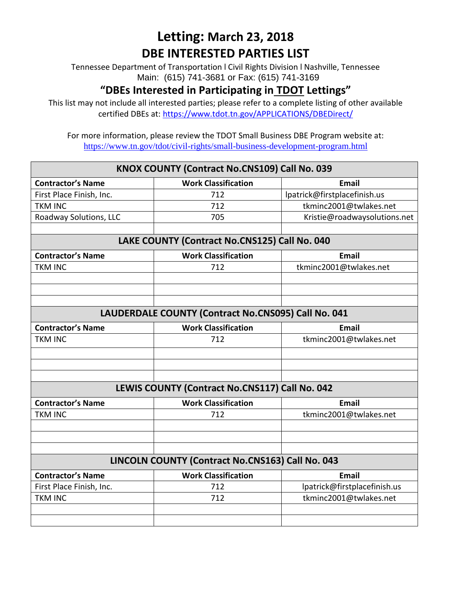Tennessee Department of Transportation l Civil Rights Division l Nashville, Tennessee Main: (615) 741-3681 or Fax: (615) 741-3169

### **"DBEs Interested in Participating in TDOT Lettings"**

This list may not include all interested parties; please refer to a complete listing of other available certified DBEs at:<https://www.tdot.tn.gov/APPLICATIONS/DBEDirect/>

| KNOX COUNTY (Contract No.CNS109) Call No. 039       |                                                |                              |
|-----------------------------------------------------|------------------------------------------------|------------------------------|
| <b>Contractor's Name</b>                            | <b>Work Classification</b>                     | <b>Email</b>                 |
| First Place Finish, Inc.                            | 712                                            | lpatrick@firstplacefinish.us |
| <b>TKM INC</b>                                      | 712                                            | tkminc2001@twlakes.net       |
| Roadway Solutions, LLC                              | 705                                            | Kristie@roadwaysolutions.net |
|                                                     |                                                |                              |
|                                                     | LAKE COUNTY (Contract No.CNS125) Call No. 040  |                              |
| <b>Contractor's Name</b>                            | <b>Work Classification</b>                     | <b>Email</b>                 |
| <b>TKM INC</b>                                      | 712                                            | tkminc2001@twlakes.net       |
|                                                     |                                                |                              |
|                                                     |                                                |                              |
|                                                     |                                                |                              |
| LAUDERDALE COUNTY (Contract No.CNS095) Call No. 041 |                                                |                              |
| <b>Contractor's Name</b>                            | <b>Work Classification</b>                     | <b>Email</b>                 |
| <b>TKM INC</b>                                      | 712                                            | tkminc2001@twlakes.net       |
|                                                     |                                                |                              |
|                                                     |                                                |                              |
|                                                     |                                                |                              |
|                                                     | LEWIS COUNTY (Contract No.CNS117) Call No. 042 |                              |
| <b>Contractor's Name</b>                            | <b>Work Classification</b>                     | <b>Email</b>                 |
| <b>TKM INC</b>                                      | 712                                            | tkminc2001@twlakes.net       |
|                                                     |                                                |                              |
|                                                     |                                                |                              |
|                                                     |                                                |                              |
| LINCOLN COUNTY (Contract No.CNS163) Call No. 043    |                                                |                              |
| <b>Contractor's Name</b>                            | <b>Work Classification</b>                     | <b>Email</b>                 |
| First Place Finish, Inc.                            | 712                                            | lpatrick@firstplacefinish.us |
| <b>TKM INC</b>                                      | 712                                            | tkminc2001@twlakes.net       |
|                                                     |                                                |                              |
|                                                     |                                                |                              |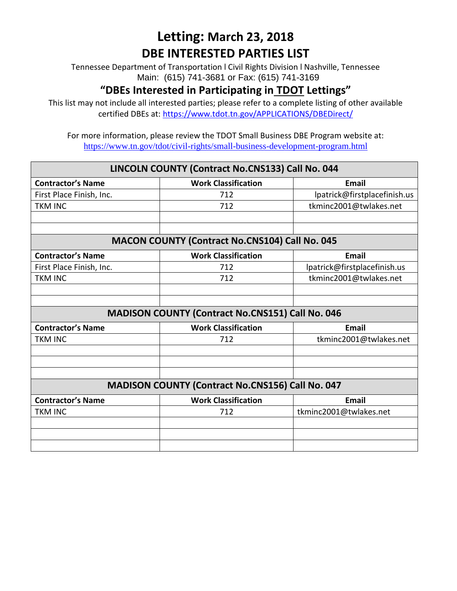Tennessee Department of Transportation l Civil Rights Division l Nashville, Tennessee Main: (615) 741-3681 or Fax: (615) 741-3169

#### **"DBEs Interested in Participating in TDOT Lettings"**

This list may not include all interested parties; please refer to a complete listing of other available certified DBEs at:<https://www.tdot.tn.gov/APPLICATIONS/DBEDirect/>

| LINCOLN COUNTY (Contract No.CNS133) Call No. 044 |                                                         |                              |
|--------------------------------------------------|---------------------------------------------------------|------------------------------|
| <b>Contractor's Name</b>                         | <b>Work Classification</b>                              | <b>Email</b>                 |
| First Place Finish, Inc.                         | 712                                                     | lpatrick@firstplacefinish.us |
| <b>TKM INC</b>                                   | 712                                                     | tkminc2001@twlakes.net       |
|                                                  |                                                         |                              |
|                                                  |                                                         |                              |
|                                                  | <b>MACON COUNTY (Contract No.CNS104) Call No. 045</b>   |                              |
| <b>Contractor's Name</b>                         | <b>Work Classification</b>                              | <b>Email</b>                 |
| First Place Finish, Inc.                         | 712                                                     | lpatrick@firstplacefinish.us |
| <b>TKM INC</b>                                   | 712                                                     | tkminc2001@twlakes.net       |
|                                                  |                                                         |                              |
|                                                  |                                                         |                              |
|                                                  | MADISON COUNTY (Contract No.CNS151) Call No. 046        |                              |
| <b>Contractor's Name</b>                         | <b>Work Classification</b>                              | <b>Email</b>                 |
| <b>TKM INC</b>                                   | 712                                                     | tkminc2001@twlakes.net       |
|                                                  |                                                         |                              |
|                                                  |                                                         |                              |
|                                                  |                                                         |                              |
|                                                  | <b>MADISON COUNTY (Contract No.CNS156) Call No. 047</b> |                              |
| <b>Contractor's Name</b>                         | <b>Work Classification</b>                              | <b>Email</b>                 |
| <b>TKM INC</b>                                   | 712                                                     | tkminc2001@twlakes.net       |
|                                                  |                                                         |                              |
|                                                  |                                                         |                              |
|                                                  |                                                         |                              |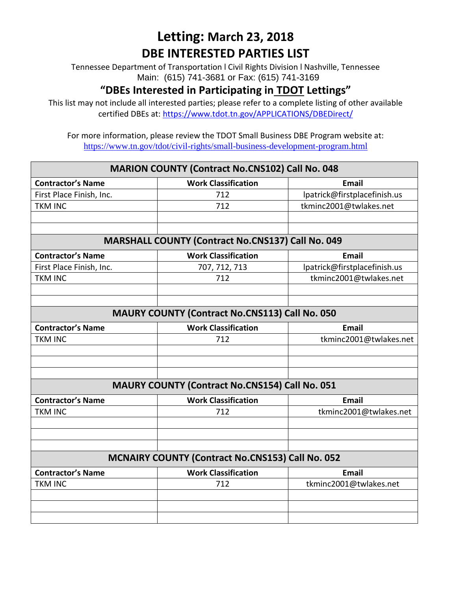Tennessee Department of Transportation l Civil Rights Division l Nashville, Tennessee Main: (615) 741-3681 or Fax: (615) 741-3169

#### **"DBEs Interested in Participating in TDOT Lettings"**

This list may not include all interested parties; please refer to a complete listing of other available certified DBEs at:<https://www.tdot.tn.gov/APPLICATIONS/DBEDirect/>

| <b>MARION COUNTY (Contract No.CNS102) Call No. 048</b>  |                                                          |                              |
|---------------------------------------------------------|----------------------------------------------------------|------------------------------|
| <b>Contractor's Name</b>                                | <b>Work Classification</b>                               | <b>Email</b>                 |
| First Place Finish, Inc.                                | 712                                                      | lpatrick@firstplacefinish.us |
| <b>TKM INC</b>                                          | 712                                                      | tkminc2001@twlakes.net       |
|                                                         |                                                          |                              |
|                                                         |                                                          |                              |
|                                                         | <b>MARSHALL COUNTY (Contract No.CNS137) Call No. 049</b> |                              |
| <b>Contractor's Name</b>                                | <b>Work Classification</b>                               | <b>Email</b>                 |
| First Place Finish, Inc.                                | 707, 712, 713                                            | lpatrick@firstplacefinish.us |
| <b>TKM INC</b>                                          | 712                                                      | tkminc2001@twlakes.net       |
|                                                         |                                                          |                              |
|                                                         |                                                          |                              |
| <b>MAURY COUNTY (Contract No.CNS113) Call No. 050</b>   |                                                          |                              |
| <b>Contractor's Name</b>                                | <b>Work Classification</b>                               | <b>Email</b>                 |
| <b>TKM INC</b>                                          | 712                                                      | tkminc2001@twlakes.net       |
|                                                         |                                                          |                              |
|                                                         |                                                          |                              |
|                                                         |                                                          |                              |
| <b>MAURY COUNTY (Contract No.CNS154) Call No. 051</b>   |                                                          |                              |
| <b>Contractor's Name</b>                                | <b>Work Classification</b>                               | <b>Email</b>                 |
| <b>TKM INC</b>                                          | 712                                                      | tkminc2001@twlakes.net       |
|                                                         |                                                          |                              |
|                                                         |                                                          |                              |
|                                                         |                                                          |                              |
| <b>MCNAIRY COUNTY (Contract No.CNS153) Call No. 052</b> |                                                          |                              |
| <b>Contractor's Name</b>                                | <b>Work Classification</b>                               | <b>Email</b>                 |
| <b>TKM INC</b>                                          | 712                                                      | tkminc2001@twlakes.net       |
|                                                         |                                                          |                              |
|                                                         |                                                          |                              |
|                                                         |                                                          |                              |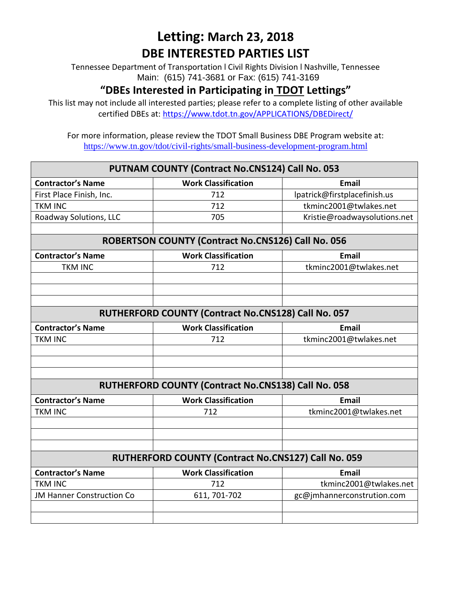Tennessee Department of Transportation l Civil Rights Division l Nashville, Tennessee Main: (615) 741-3681 or Fax: (615) 741-3169

#### **"DBEs Interested in Participating in TDOT Lettings"**

This list may not include all interested parties; please refer to a complete listing of other available certified DBEs at:<https://www.tdot.tn.gov/APPLICATIONS/DBEDirect/>

| PUTNAM COUNTY (Contract No.CNS124) Call No. 053     |                                                     |                              |  |
|-----------------------------------------------------|-----------------------------------------------------|------------------------------|--|
| <b>Contractor's Name</b>                            | <b>Work Classification</b>                          | <b>Email</b>                 |  |
| First Place Finish, Inc.                            | 712                                                 | lpatrick@firstplacefinish.us |  |
| <b>TKM INC</b>                                      | 712                                                 | tkminc2001@twlakes.net       |  |
| Roadway Solutions, LLC                              | 705                                                 | Kristie@roadwaysolutions.net |  |
|                                                     |                                                     |                              |  |
|                                                     | ROBERTSON COUNTY (Contract No.CNS126) Call No. 056  |                              |  |
| <b>Contractor's Name</b>                            | <b>Work Classification</b>                          | <b>Email</b>                 |  |
| <b>TKM INC</b>                                      | 712                                                 | tkminc2001@twlakes.net       |  |
|                                                     |                                                     |                              |  |
|                                                     |                                                     |                              |  |
|                                                     |                                                     |                              |  |
| RUTHERFORD COUNTY (Contract No.CNS128) Call No. 057 |                                                     |                              |  |
| <b>Contractor's Name</b>                            | <b>Work Classification</b>                          | <b>Email</b>                 |  |
| <b>TKM INC</b>                                      | 712                                                 | tkminc2001@twlakes.net       |  |
|                                                     |                                                     |                              |  |
|                                                     |                                                     |                              |  |
|                                                     |                                                     |                              |  |
|                                                     | RUTHERFORD COUNTY (Contract No.CNS138) Call No. 058 |                              |  |
| <b>Contractor's Name</b>                            | <b>Work Classification</b>                          | <b>Email</b>                 |  |
| <b>TKM INC</b>                                      | 712                                                 | tkminc2001@twlakes.net       |  |
|                                                     |                                                     |                              |  |
|                                                     |                                                     |                              |  |
|                                                     |                                                     |                              |  |
|                                                     | RUTHERFORD COUNTY (Contract No.CNS127) Call No. 059 |                              |  |
| <b>Contractor's Name</b>                            | <b>Work Classification</b>                          | <b>Email</b>                 |  |
| <b>TKM INC</b>                                      | 712                                                 | tkminc2001@twlakes.net       |  |
| <b>JM Hanner Construction Co</b>                    | 611, 701-702                                        | gc@jmhannerconstrution.com   |  |
|                                                     |                                                     |                              |  |
|                                                     |                                                     |                              |  |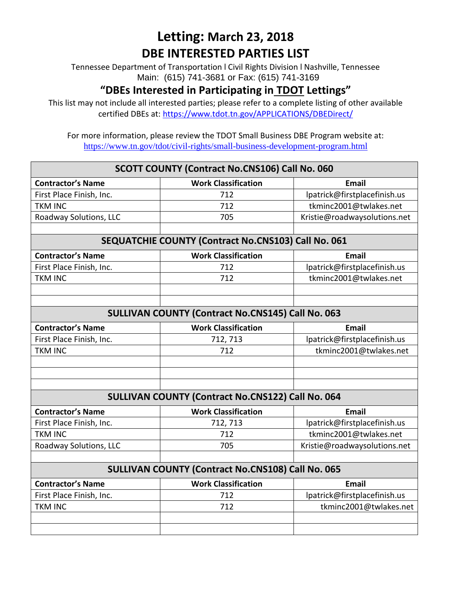Tennessee Department of Transportation l Civil Rights Division l Nashville, Tennessee Main: (615) 741-3681 or Fax: (615) 741-3169

#### **"DBEs Interested in Participating in TDOT Lettings"**

This list may not include all interested parties; please refer to a complete listing of other available certified DBEs at:<https://www.tdot.tn.gov/APPLICATIONS/DBEDirect/>

| <b>SCOTT COUNTY (Contract No.CNS106) Call No. 060</b>    |                                                          |                              |
|----------------------------------------------------------|----------------------------------------------------------|------------------------------|
| <b>Contractor's Name</b>                                 | <b>Work Classification</b>                               | <b>Email</b>                 |
| First Place Finish, Inc.                                 | 712                                                      | lpatrick@firstplacefinish.us |
| <b>TKM INC</b>                                           | 712                                                      | tkminc2001@twlakes.net       |
| Roadway Solutions, LLC                                   | 705                                                      | Kristie@roadwaysolutions.net |
|                                                          |                                                          |                              |
|                                                          | SEQUATCHIE COUNTY (Contract No.CNS103) Call No. 061      |                              |
| <b>Contractor's Name</b>                                 | <b>Work Classification</b>                               | <b>Email</b>                 |
| First Place Finish, Inc.                                 | 712                                                      | lpatrick@firstplacefinish.us |
| <b>TKM INC</b>                                           | 712                                                      | tkminc2001@twlakes.net       |
|                                                          |                                                          |                              |
|                                                          |                                                          |                              |
| <b>SULLIVAN COUNTY (Contract No.CNS145) Call No. 063</b> |                                                          |                              |
| <b>Contractor's Name</b>                                 | <b>Work Classification</b>                               | <b>Email</b>                 |
| First Place Finish, Inc.                                 | 712, 713                                                 | lpatrick@firstplacefinish.us |
| <b>TKM INC</b>                                           | 712                                                      | tkminc2001@twlakes.net       |
|                                                          |                                                          |                              |
|                                                          |                                                          |                              |
|                                                          |                                                          |                              |
|                                                          | <b>SULLIVAN COUNTY (Contract No.CNS122) Call No. 064</b> |                              |
| <b>Contractor's Name</b>                                 | <b>Work Classification</b>                               | <b>Email</b>                 |
| First Place Finish, Inc.                                 | 712, 713                                                 | lpatrick@firstplacefinish.us |
| <b>TKM INC</b>                                           | 712                                                      | tkminc2001@twlakes.net       |
| Roadway Solutions, LLC                                   | 705                                                      | Kristie@roadwaysolutions.net |
|                                                          |                                                          |                              |
| <b>SULLIVAN COUNTY (Contract No.CNS108) Call No. 065</b> |                                                          |                              |
| <b>Contractor's Name</b>                                 | <b>Work Classification</b>                               | <b>Email</b>                 |
| First Place Finish, Inc.                                 | 712                                                      | lpatrick@firstplacefinish.us |
| <b>TKM INC</b>                                           | 712                                                      | tkminc2001@twlakes.net       |
|                                                          |                                                          |                              |
|                                                          |                                                          |                              |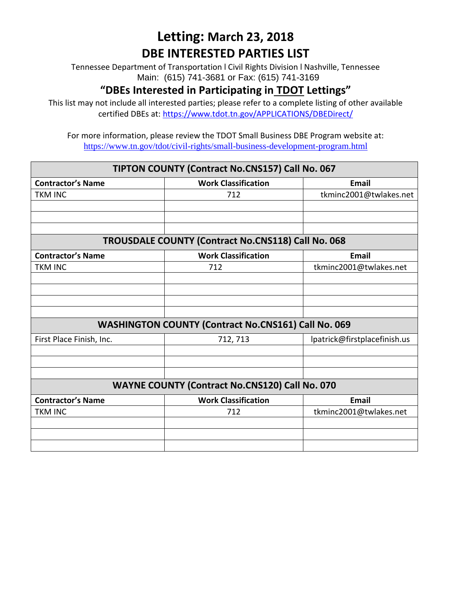Tennessee Department of Transportation l Civil Rights Division l Nashville, Tennessee Main: (615) 741-3681 or Fax: (615) 741-3169

#### **"DBEs Interested in Participating in TDOT Lettings"**

This list may not include all interested parties; please refer to a complete listing of other available certified DBEs at:<https://www.tdot.tn.gov/APPLICATIONS/DBEDirect/>

| TIPTON COUNTY (Contract No.CNS157) Call No. 067 |                                                            |                              |
|-------------------------------------------------|------------------------------------------------------------|------------------------------|
| <b>Contractor's Name</b>                        | <b>Work Classification</b>                                 | <b>Email</b>                 |
| <b>TKM INC</b>                                  | 712                                                        | tkminc2001@twlakes.net       |
|                                                 |                                                            |                              |
|                                                 |                                                            |                              |
|                                                 |                                                            |                              |
|                                                 | <b>TROUSDALE COUNTY (Contract No.CNS118) Call No. 068</b>  |                              |
| <b>Contractor's Name</b>                        | <b>Work Classification</b>                                 | Email                        |
| <b>TKM INC</b>                                  | 712                                                        | tkminc2001@twlakes.net       |
|                                                 |                                                            |                              |
|                                                 |                                                            |                              |
|                                                 |                                                            |                              |
|                                                 |                                                            |                              |
|                                                 | <b>WASHINGTON COUNTY (Contract No.CNS161) Call No. 069</b> |                              |
| First Place Finish, Inc.                        | 712, 713                                                   | lpatrick@firstplacefinish.us |
|                                                 |                                                            |                              |
|                                                 |                                                            |                              |
|                                                 |                                                            |                              |
|                                                 | <b>WAYNE COUNTY (Contract No.CNS120) Call No. 070</b>      |                              |
| <b>Contractor's Name</b>                        | <b>Work Classification</b>                                 | <b>Email</b>                 |
| <b>TKM INC</b>                                  | 712                                                        | tkminc2001@twlakes.net       |
|                                                 |                                                            |                              |
|                                                 |                                                            |                              |
|                                                 |                                                            |                              |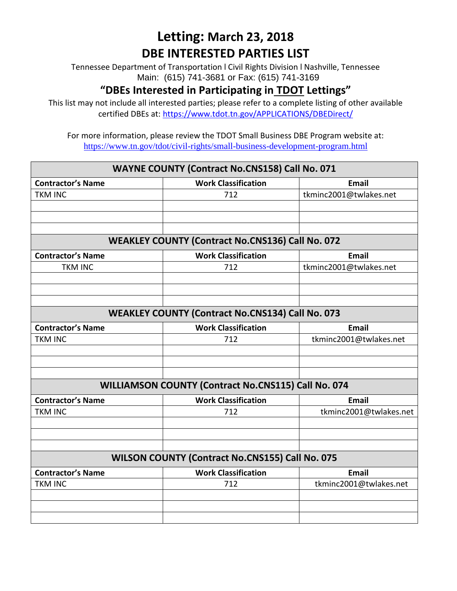Tennessee Department of Transportation l Civil Rights Division l Nashville, Tennessee Main: (615) 741-3681 or Fax: (615) 741-3169

#### **"DBEs Interested in Participating in TDOT Lettings"**

This list may not include all interested parties; please refer to a complete listing of other available certified DBEs at:<https://www.tdot.tn.gov/APPLICATIONS/DBEDirect/>

For more information, please review the TDOT Small Business DBE Program website at: <https://www.tn.gov/tdot/civil-rights/small-business-development-program.html>

# **WAYNE COUNTY (Contract No.CNS158) Call No. 071 Contractor's Name Work Classification Email** TKM INC 712 tkminc2001@twlakes.net **WEAKLEY COUNTY (Contract No.CNS136) Call No. 072 Contractor's Name Work Classification Email** TKM INC  $\vert$  712 tkminc2001@twlakes.net **WEAKLEY COUNTY (Contract No.CNS134) Call No. 073 Contractor's Name Work Classification Email** TKM INC 712 tkminc2001@twlakes.net **WILLIAMSON COUNTY (Contract No.CNS115) Call No. 074 Contractor's Name Work Classification Email** TKM INC **TREE 10001** tkminc2001@twlakes.net **WILSON COUNTY (Contract No.CNS155) Call No. 075 Contractor's Name Work Classification Email** TKM INC **TRIM** INC **TRIM** TRIM TRIMING **TRIM** TRIMING **TRIMING** TRIMING TRIMING TRIMING TRIMING TRIMING TRIMING TRIMING TRIMING TRIMING TRIMING TRIMING TRIMING TRIMING TRIMING TRIMING TRIMING TRIMING TRIMING TRIMING TRIMIN